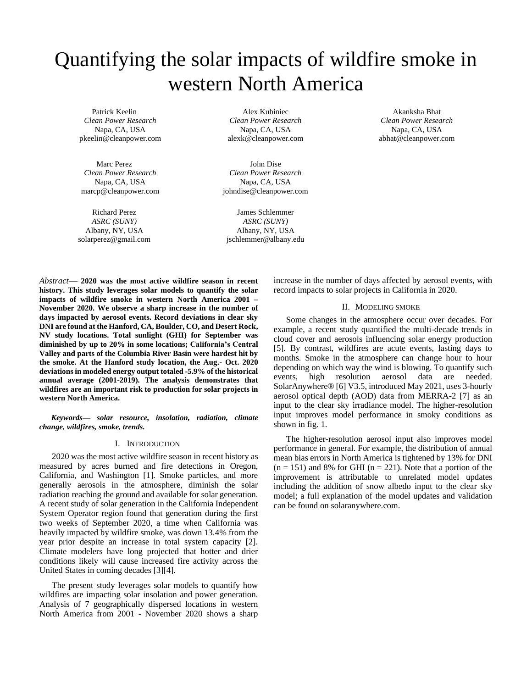# Quantifying the solar impacts of wildfire smoke in western North America

Patrick Keelin *Clean Power Research* Napa, CA, USA pkeelin@cleanpower.com

Marc Perez *Clean Power Research* Napa, CA, USA marcp@cleanpower.com

Richard Perez *ASRC (SUNY)* Albany, NY, USA solarperez@gmail.com

Alex Kubiniec *Clean Power Research* Napa, CA, USA alexk@cleanpower.com

John Dise *Clean Power Research* Napa, CA, USA johndise@cleanpower.com

James Schlemmer *ASRC (SUNY)* Albany, NY, USA jschlemmer@albany.edu

Akanksha Bhat *Clean Power Research* Napa, CA, USA abhat@cleanpower.com

*Abstract*— **2020 was the most active wildfire season in recent history. This study leverages solar models to quantify the solar impacts of wildfire smoke in western North America 2001 – November 2020. We observe a sharp increase in the number of days impacted by aerosol events. Record deviations in clear sky DNI are found at the Hanford, CA, Boulder, CO, and Desert Rock, NV study locations. Total sunlight (GHI) for September was diminished by up to 20% in some locations; California's Central Valley and parts of the Columbia River Basin were hardest hit by the smoke. At the Hanford study location, the Aug.- Oct. 2020 deviations in modeled energy output totaled -5.9% of the historical annual average (2001-2019). The analysis demonstrates that wildfires are an important risk to production for solar projects in western North America.**

*Keywords— solar resource, insolation, radiation, climate change, wildfires, smoke, trends.*

# I. INTRODUCTION

2020 was the most active wildfire season in recent history as measured by acres burned and fire detections in Oregon, California, and Washington [1]. Smoke particles, and more generally aerosols in the atmosphere, diminish the solar radiation reaching the ground and available for solar generation. A recent study of solar generation in the California Independent System Operator region found that generation during the first two weeks of September 2020, a time when California was heavily impacted by wildfire smoke, was down 13.4% from the year prior despite an increase in total system capacity [2]. Climate modelers have long projected that hotter and drier conditions likely will cause increased fire activity across the United States in coming decades [3][4].

The present study leverages solar models to quantify how wildfires are impacting solar insolation and power generation. Analysis of 7 geographically dispersed locations in western North America from 2001 - November 2020 shows a sharp

increase in the number of days affected by aerosol events, with record impacts to solar projects in California in 2020.

### II. MODELING SMOKE

Some changes in the atmosphere occur over decades. For example, a recent study quantified the multi-decade trends in cloud cover and aerosols influencing solar energy production [5]. By contrast, wildfires are acute events, lasting days to months. Smoke in the atmosphere can change hour to hour depending on which way the wind is blowing. To quantify such events, high resolution aerosol data are needed. SolarAnywhere® [6] V3.5, introduced May 2021, uses 3-hourly aerosol optical depth (AOD) data from MERRA-2 [7] as an input to the clear sky irradiance model. The higher-resolution input improves model performance in smoky conditions as shown in fig. 1.

The higher-resolution aerosol input also improves model performance in general. For example, the distribution of annual mean bias errors in North America is tightened by 13% for DNI  $(n = 151)$  and 8% for GHI  $(n = 221)$ . Note that a portion of the improvement is attributable to unrelated model updates including the addition of snow albedo input to the clear sky model; a full explanation of the model updates and validation can be found on solaranywhere.com.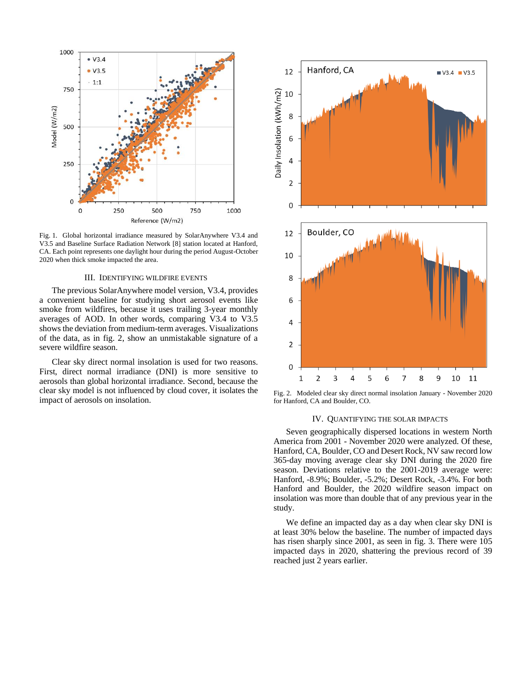

Fig. 1. Global horizontal irradiance measured by SolarAnywhere V3.4 and V3.5 and Baseline Surface Radiation Network [8] station located at Hanford, CA. Each point represents one daylight hour during the period August-October 2020 when thick smoke impacted the area.

# III. IDENTIFYING WILDFIRE EVENTS

The previous SolarAnywhere model version, V3.4, provides a convenient baseline for studying short aerosol events like smoke from wildfires, because it uses trailing 3-year monthly averages of AOD. In other words, comparing V3.4 to V3.5 shows the deviation from medium-term averages. Visualizations of the data, as in fig. 2, show an unmistakable signature of a severe wildfire season.

Clear sky direct normal insolation is used for two reasons. First, direct normal irradiance (DNI) is more sensitive to aerosols than global horizontal irradiance. Second, because the clear sky model is not influenced by cloud cover, it isolates the impact of aerosols on insolation.



Fig. 2. Modeled clear sky direct normal insolation January - November 2020 for Hanford, CA and Boulder, CO.

## IV. QUANTIFYING THE SOLAR IMPACTS

Seven geographically dispersed locations in western North America from 2001 - November 2020 were analyzed. Of these, Hanford, CA, Boulder, CO and Desert Rock, NV saw record low 365-day moving average clear sky DNI during the 2020 fire season. Deviations relative to the 2001-2019 average were: Hanford, -8.9%; Boulder, -5.2%; Desert Rock, -3.4%. For both Hanford and Boulder, the 2020 wildfire season impact on insolation was more than double that of any previous year in the study.

We define an impacted day as a day when clear sky DNI is at least 30% below the baseline. The number of impacted days has risen sharply since 2001, as seen in fig. 3. There were 105 impacted days in 2020, shattering the previous record of 39 reached just 2 years earlier.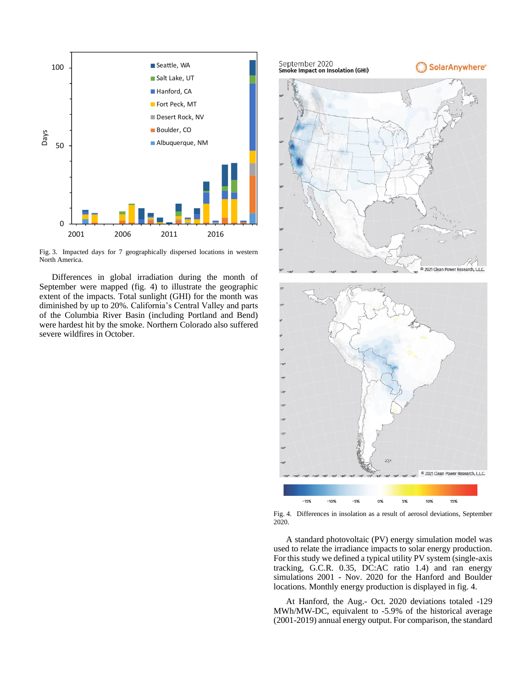

Fig. 3. Impacted days for 7 geographically dispersed locations in western North America.

Differences in global irradiation during the month of September were mapped (fig. 4) to illustrate the geographic extent of the impacts. Total sunlight (GHI) for the month was diminished by up to 20%. California's Central Valley and parts of the Columbia River Basin (including Portland and Bend) were hardest hit by the smoke. Northern Colorado also suffered severe wildfires in October.



Fig. 4. Differences in insolation as a result of aerosol deviations, September 2020.

A standard photovoltaic (PV) energy simulation model was used to relate the irradiance impacts to solar energy production. For this study we defined a typical utility PV system (single-axis tracking, G.C.R. 0.35, DC:AC ratio 1.4) and ran energy simulations 2001 - Nov. 2020 for the Hanford and Boulder locations. Monthly energy production is displayed in fig. 4.

At Hanford, the Aug.- Oct. 2020 deviations totaled -129 MWh/MW-DC, equivalent to -5.9% of the historical average (2001-2019) annual energy output. For comparison, the standard